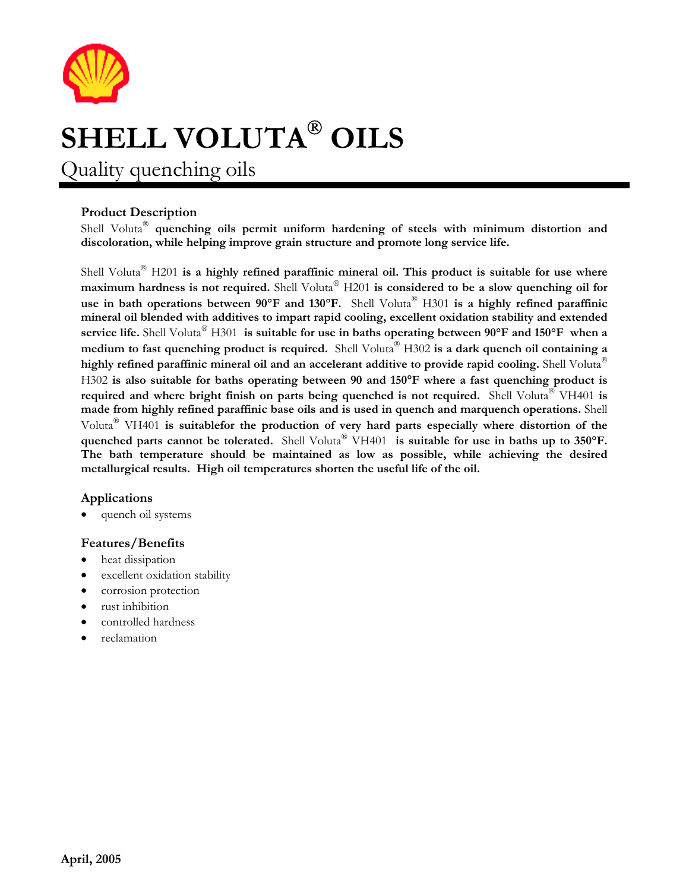

# **SHELL VOLUTA<sup>®</sup> OILS**

Quality quenching oils

## **Product Description**

Shell Voluta<sup>®</sup> quenching oils permit uniform hardening of steels with minimum distortion and **discoloration, while helping improve grain structure and promote long service life.** 

Shell Voluta<sup>®</sup> H201 is a highly refined paraffinic mineral oil. This product is suitable for use where **maximum hardness is not required.** Shell Voluta<sup>®</sup> H201 is considered to be a slow quenching oil for use in bath operations between 90°F and 130°F. Shell Voluta<sup>®</sup> H301 is a highly refined paraffinic **mineral oil blended with additives to impart rapid cooling, excellent oxidation stability and extended service life.** Shell Voluta<sup>®</sup> H301 is suitable for use in baths operating between 90°**F** and 150°**F** when a **medium to fast quenching product is required.** Shell Voluta<sup>®</sup> H302 is a dark quench oil containing a **highly refined paraffinic mineral oil and an accelerant additive to provide rapid cooling.** Shell Voluta H302 **is also suitable for baths operating between 90 and 150**°**F where a fast quenching product is required and where bright finish on parts being quenched is not required.** Shell Voluta<sup>®</sup> VH401 is **made from highly refined paraffinic base oils and is used in quench and marquench operations.** Shell Voluta<sup>®</sup> VH401 is suitablefor the production of very hard parts especially where distortion of the **quenched parts cannot be tolerated.** Shell Voluta<sup>®</sup> VH401 is suitable for use in baths up to 350°F. **The bath temperature should be maintained as low as possible, while achieving the desired metallurgical results. High oil temperatures shorten the useful life of the oil.**

### **Applications**

quench oil systems

### **Features/Benefits**

- heat dissipation
- excellent oxidation stability
- corrosion protection
- rust inhibition
- controlled hardness
- reclamation